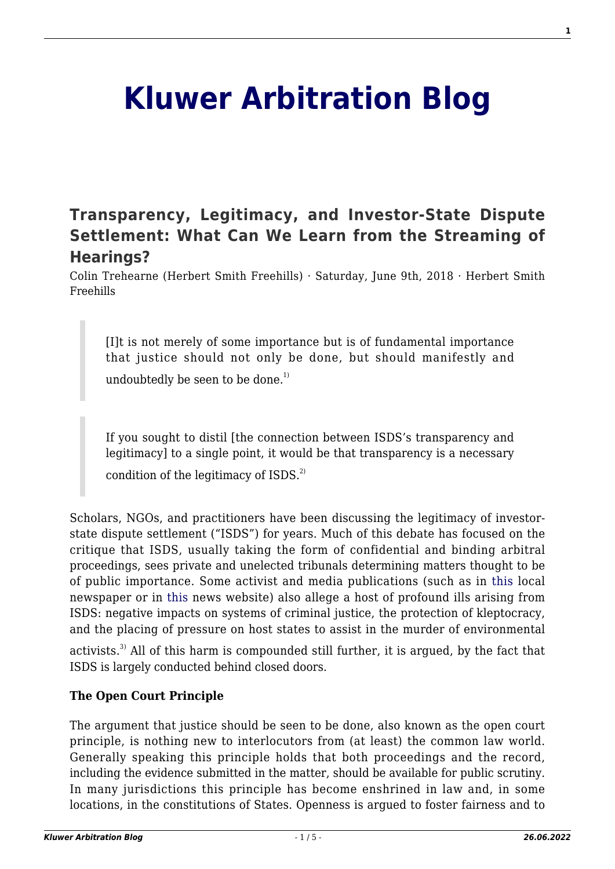# **[Kluwer Arbitration Blog](http://arbitrationblog.kluwerarbitration.com/)**

# **[Transparency, Legitimacy, and Investor-State Dispute](http://arbitrationblog.kluwerarbitration.com/2018/06/09/transparency-legitimacy-investor-state-dispute-settlement-can-learn-streaming-hearings/) [Settlement: What Can We Learn from the Streaming of](http://arbitrationblog.kluwerarbitration.com/2018/06/09/transparency-legitimacy-investor-state-dispute-settlement-can-learn-streaming-hearings/) [Hearings?](http://arbitrationblog.kluwerarbitration.com/2018/06/09/transparency-legitimacy-investor-state-dispute-settlement-can-learn-streaming-hearings/)**

Colin Trehearne (Herbert Smith Freehills) · Saturday, June 9th, 2018 · Herbert Smith Freehills

[I]t is not merely of some importance but is of fundamental importance that justice should not only be done, but should manifestly and undoubtedly be seen to be done.<sup>1)</sup>

If you sought to distil [the connection between ISDS's transparency and legitimacy] to a single point, it would be that transparency is a necessary

condition of the legitimacy of  $ISDS<sup>2</sup>$ .

Scholars, NGOs, and practitioners have been discussing the legitimacy of investorstate dispute settlement ("ISDS") for years. Much of this debate has focused on the critique that ISDS, usually taking the form of confidential and binding arbitral proceedings, sees private and unelected tribunals determining matters thought to be of public importance. Some activist and media publications (such as in [this l](http://leaderpost.com/opinion/letters/distasteful-deals-behind-closed-doors)ocal newspaper or in [this](https://www.buzzfeed.com/chrishamby/super-court?utm_term=.hseKvGbLd#.ryevrw73E) news website) also allege a host of profound ills arising from ISDS: negative impacts on systems of criminal justice, the protection of kleptocracy, and the placing of pressure on host states to assist in the murder of environmental

activists.<sup>3)</sup> All of this harm is compounded still further, it is argued, by the fact that ISDS is largely conducted behind closed doors.

## **The Open Court Principle**

The argument that justice should be seen to be done, also known as the open court principle, is nothing new to interlocutors from (at least) the common law world. Generally speaking this principle holds that both proceedings and the record, including the evidence submitted in the matter, should be available for public scrutiny. In many jurisdictions this principle has become enshrined in law and, in some locations, in the constitutions of States. Openness is argued to foster fairness and to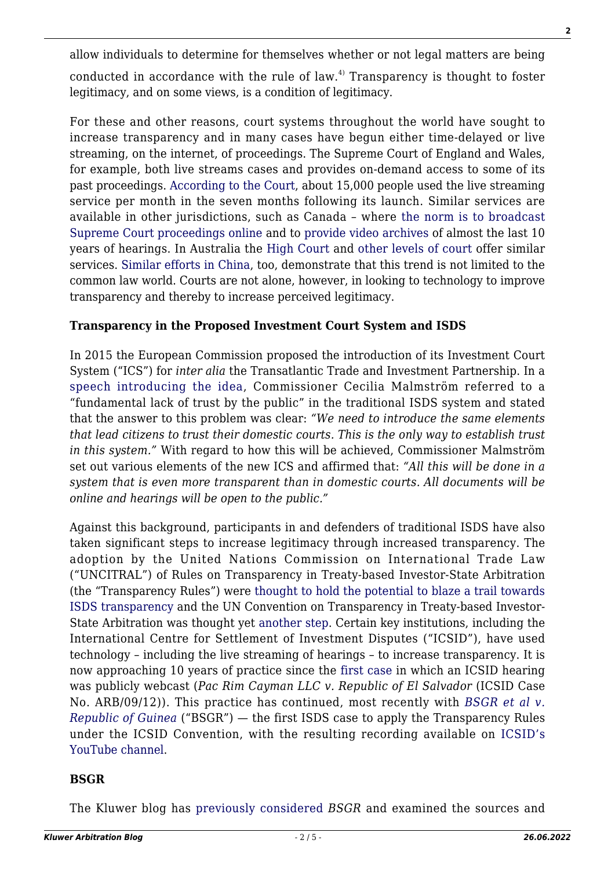allow individuals to determine for themselves whether or not legal matters are being conducted in accordance with the rule of law.<sup>4)</sup> Transparency is thought to foster legitimacy, and on some views, is a condition of legitimacy.

For these and other reasons, court systems throughout the world have sought to increase transparency and in many cases have begun either time-delayed or live streaming, on the internet, of proceedings. The Supreme Court of England and Wales, for example, both live streams cases and provides on-demand access to some of its past proceedings. [According to the Court,](https://www.supremecourt.uk/news/catch-up-on-court-action-supreme-court-launches-video-on-demand-service.html) about 15,000 people used the live streaming service per month in the seven months following its launch. Similar services are available in other jurisdictions, such as Canada – where [the norm is to broadcast](https://www.scc-csc.ca/case-dossier/info/hear-aud-eng.aspx) [Supreme Court proceedings online](https://www.scc-csc.ca/case-dossier/info/hear-aud-eng.aspx) and to [provide video archives](https://www.scc-csc.ca/case-dossier/info/webcasts-webdiffusions-eng.aspx) of almost the last 10 years of hearings. In Australia the [High Court](http://www.hcourt.gov.au/cases/recent-av-recordings) and [other](https://www.supremecourt.vic.gov.au/contact-us/media-centre/audio-and-video-webcasts) [levels of court](http://www.supremecourt.justice.nsw.gov.au/Pages/sco2_publications/videos.aspx) offer similar services. [Similar efforts in China](http://www.bbc.com/news/blogs-china-blog-37515399), too, demonstrate that this trend is not limited to the common law world. Courts are not alone, however, in looking to technology to improve transparency and thereby to increase perceived legitimacy.

#### **Transparency in the Proposed Investment Court System and ISDS**

In 2015 the European Commission proposed the introduction of its Investment Court System ("ICS") for *inter alia* the Transatlantic Trade and Investment Partnership. In a [speech introducing the idea,](https://youtu.be/w_uR9cFzhjs) Commissioner Cecilia Malmström referred to a "fundamental lack of trust by the public" in the traditional ISDS system and stated that the answer to this problem was clear: *"We need to introduce the same elements that lead citizens to trust their domestic courts. This is the only way to establish trust in this system."* With regard to how this will be achieved, Commissioner Malmström set out various elements of the new ICS and affirmed that: *"All this will be done in a system that is even more transparent than in domestic courts. All documents will be online and hearings will be open to the public."*

Against this background, participants in and defenders of traditional ISDS have also taken significant steps to increase legitimacy through increased transparency. The adoption by the United Nations Commission on International Trade Law ("UNCITRAL") of Rules on Transparency in Treaty-based Investor-State Arbitration (the "Transparency Rules") were [thought to hold the potential to blaze a trail towards](http://arbitrationblog.kluwerarbitration.com/2013/07/25/uncitral-unveils-new-transparency-rules-blazing-a-trail-towards-transparency-in-investor-state-arbitration/) [ISDS transparency](http://arbitrationblog.kluwerarbitration.com/2013/07/25/uncitral-unveils-new-transparency-rules-blazing-a-trail-towards-transparency-in-investor-state-arbitration/) and the UN Convention on Transparency in Treaty-based Investor-State Arbitration was thought yet [another step](http://arbitrationblog.kluwerarbitration.com/2015/03/30/a-step-toward-greater-transparency-the-un-transparency-convention/). Certain key institutions, including the International Centre for Settlement of Investment Disputes ("ICSID"), have used technology – including the live streaming of hearings – to increase transparency. It is now approaching 10 years of practice since the [first case](https://icsid.worldbank.org/en/Pages/resources/ICSID NewsLetter/January 17/Award-Rendered-in-Case-Involving-Claims-under-CAFTA-and-El-Salva-Investment-Law.aspx) in which an ICSID hearing was publicly webcast (*Pac Rim Cayman LLC v. Republic of El Salvador* (ICSID Case No. ARB/09/12)). This practice has continued, most recently with *[BSGR et al v.](https://icsid.worldbank.org/en/Pages/resources/ICSID NewsLetter/2018-Issue3/Newsletter-April-2018.aspx) [Republic of Guinea](https://icsid.worldbank.org/en/Pages/resources/ICSID NewsLetter/2018-Issue3/Newsletter-April-2018.aspx)* ("BSGR") — the first ISDS case to apply the Transparency Rules under the ICSID Convention, with the resulting recording available on [ICSID's](https://www.youtube.com/channel/UCaH9aUQlhYs-XrUX-TocSHg) [YouTube channel.](https://www.youtube.com/channel/UCaH9aUQlhYs-XrUX-TocSHg)

#### **BSGR**

The Kluwer blog has [previously considered](http://arbitrationblog.kluwerarbitration.com/2015/12/28/in-the-realm-of-greater-transparency-is-it-just-much-ado-about-nothing/) *BSGR* and examined the sources and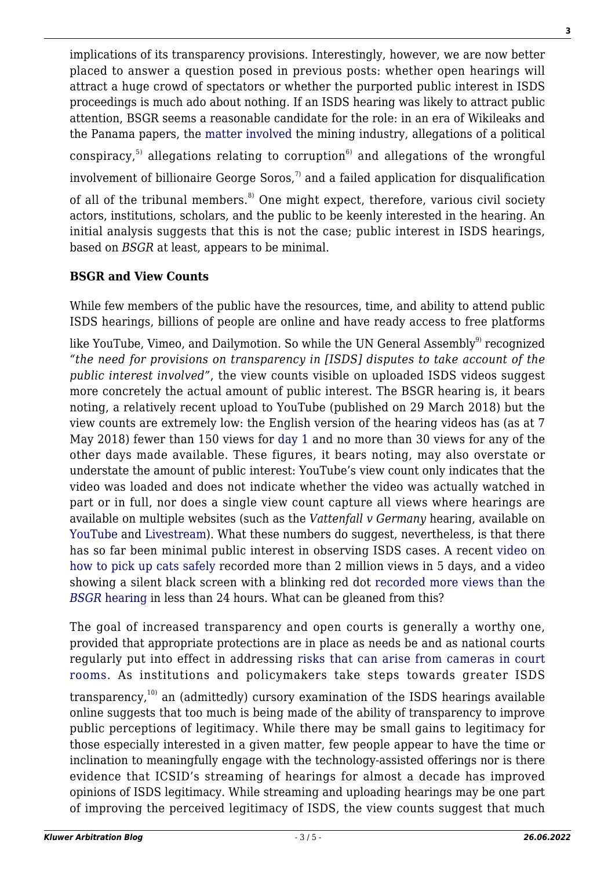implications of its transparency provisions. Interestingly, however, we are now better placed to answer a question posed in previous posts: whether open hearings will attract a huge crowd of spectators or whether the purported public interest in ISDS proceedings is much ado about nothing. If an ISDS hearing was likely to attract public attention, BSGR seems a reasonable candidate for the role: in an era of Wikileaks and the Panama papers, the [matter involved](https://www.italaw.com/sites/default/files/case-documents/italaw7371.pdf) the mining industry, allegations of a political conspiracy,<sup>5)</sup> allegations relating to corruption<sup>6)</sup> and allegations of the wrongful involvement of billionaire George Soros.<sup>7)</sup> and a failed application for disqualification of all of the tribunal members.<sup>8)</sup> One might expect, therefore, various civil society actors, institutions, scholars, and the public to be keenly interested in the hearing. An initial analysis suggests that this is not the case; public interest in ISDS hearings, based on *BSGR* at least, appears to be minimal.

## **BSGR and View Counts**

While few members of the public have the resources, time, and ability to attend public ISDS hearings, billions of people are online and have ready access to free platforms

like YouTube, Vimeo, and Dailymotion. So while the UN General Assembly<sup>9)</sup> recognized *"the need for provisions on transparency in [ISDS] disputes to take account of the public interest involved"*, the view counts visible on uploaded ISDS videos suggest more concretely the actual amount of public interest. The BSGR hearing is, it bears noting, a relatively recent upload to YouTube (published on 29 March 2018) but the view counts are extremely low: the English version of the hearing videos has (as at 7 May 2018) fewer than 150 views for [day 1 a](https://youtu.be/70r1k0E-JLE)nd no more than 30 views for any of the other days made available. These figures, it bears noting, may also overstate or understate the amount of public interest: YouTube's view count only indicates that the video was loaded and does not indicate whether the video was actually watched in part or in full, nor does a single view count capture all views where hearings are available on multiple websites (such as the *Vattenfall v Germany* hearing, available on [YouTube](https://www.youtube.com/playlist?list=PLAL1lD388hzk8C9cyDaasj1P_pf1APqDM) and [Livestream\)](https://livestream.com/ICSID/events/6515750). What these numbers do suggest, nevertheless, is that there has so far been minimal public interest in observing ISDS cases. A recent [video on](https://youtu.be/OAGfx7eB3gA) [how to pick up cats safely](https://youtu.be/OAGfx7eB3gA) recorded more than 2 million views in 5 days, and a video showing a silent black screen with a blinking red dot [recorded more views than the](https://youtu.be/ZCAsDnqi0l8) *[BSGR](https://youtu.be/ZCAsDnqi0l8)* [hearing](https://youtu.be/ZCAsDnqi0l8) in less than 24 hours. What can be gleaned from this?

The goal of increased transparency and open courts is generally a worthy one, provided that appropriate protections are in place as needs be and as national courts regularly put into effect in addressing [risks that can arise from cameras in court](http://www.cbc.ca/news/canada/edmonton/the-case-against-cameras-in-the-courtroom-1.3769436) [rooms.](http://www.cbc.ca/news/canada/edmonton/the-case-against-cameras-in-the-courtroom-1.3769436) As institutions and policymakers take steps towards greater ISDS transparency, $10$  an (admittedly) cursory examination of the ISDS hearings available online suggests that too much is being made of the ability of transparency to improve public perceptions of legitimacy. While there may be small gains to legitimacy for those especially interested in a given matter, few people appear to have the time or inclination to meaningfully engage with the technology-assisted offerings nor is there evidence that ICSID's streaming of hearings for almost a decade has improved opinions of ISDS legitimacy. While streaming and uploading hearings may be one part of improving the perceived legitimacy of ISDS, the view counts suggest that much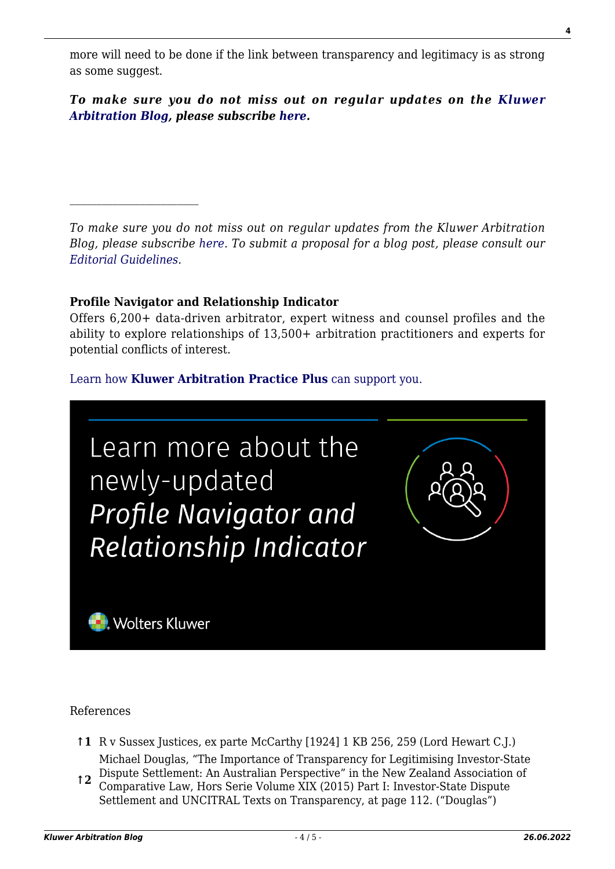more will need to be done if the link between transparency and legitimacy is as strong as some suggest.

*To make sure you do not miss out on regular updates on the [Kluwer](http://arbitrationblog.kluwerarbitration.com/) [Arbitration Blog](http://arbitrationblog.kluwerarbitration.com/), please subscribe [here.](http://arbitrationblog.kluwerarbitration.com/newsletter/?email=&mailing_list_widget_submit=Subscribe)*

*To make sure you do not miss out on regular updates from the Kluwer Arbitration Blog, please subscribe [here](http://arbitrationblog.kluwerarbitration.com/newsletter/). To submit a proposal for a blog post, please consult our [Editorial Guidelines.](http://arbitrationblog.kluwerarbitration.com/editorial-guidelines/)*

#### **Profile Navigator and Relationship Indicator**

Offers 6,200+ data-driven arbitrator, expert witness and counsel profiles and the ability to explore relationships of 13,500+ arbitration practitioners and experts for potential conflicts of interest.

#### [Learn how](https://www.wolterskluwer.com/en/solutions/kluwerarbitration/practiceplus?utm_source=arbitrationblog&utm_medium=articleCTA&utm_campaign=article-banner) **[Kluwer Arbitration Practice Plus](https://www.wolterskluwer.com/en/solutions/kluwerarbitration/practiceplus?utm_source=arbitrationblog&utm_medium=articleCTA&utm_campaign=article-banner)** [can support you.](https://www.wolterskluwer.com/en/solutions/kluwerarbitration/practiceplus?utm_source=arbitrationblog&utm_medium=articleCTA&utm_campaign=article-banner)



References

- **↑1** R v Sussex Justices, ex parte McCarthy [1924] 1 KB 256, 259 (Lord Hewart C.J.) Michael Douglas, "The Importance of Transparency for Legitimising Investor-State
- **↑2** Dispute Settlement: An Australian Perspective" in the New Zealand Association of Comparative Law, Hors Serie Volume XIX (2015) Part I: Investor-State Dispute Settlement and UNCITRAL Texts on Transparency, at page 112. ("Douglas")